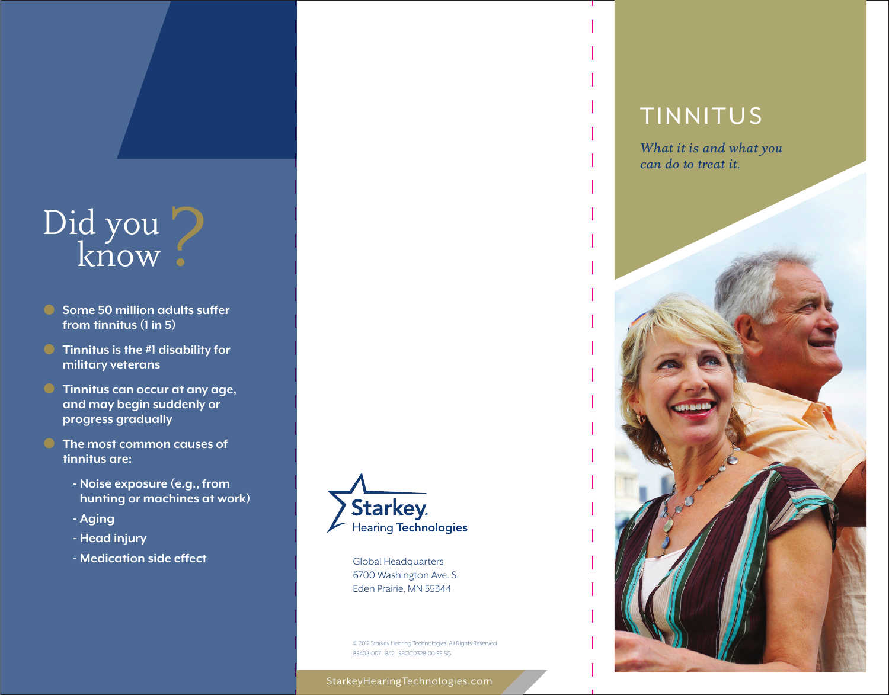# Did you ?

- **Some 50 million adults suffer from tinnitus (1 in 5)**
- **C** Tinnitus is the #1 disability for **military veterans**
- **Tinnitus can occur at any age, and may begin suddenly or progress gradually**
- **The most common causes of tinnitus are:**
	- **- Noise exposure (e.g., from hunting or machines at work)**
	- **Aging**
	- **- Head injury**
	- **- Medication side effect**



Global Headquarters 6700 Washington Ave. S. Eden Prairie, MN 55344

© 2012 starkey Hearing Technologies. All Rights Reserved. 85408-007 8/12 BROC0328-00-EE-SG

StarkeyHearingTechnologies.com

### TINNITUS

*What it is and what you can do to treat it.*